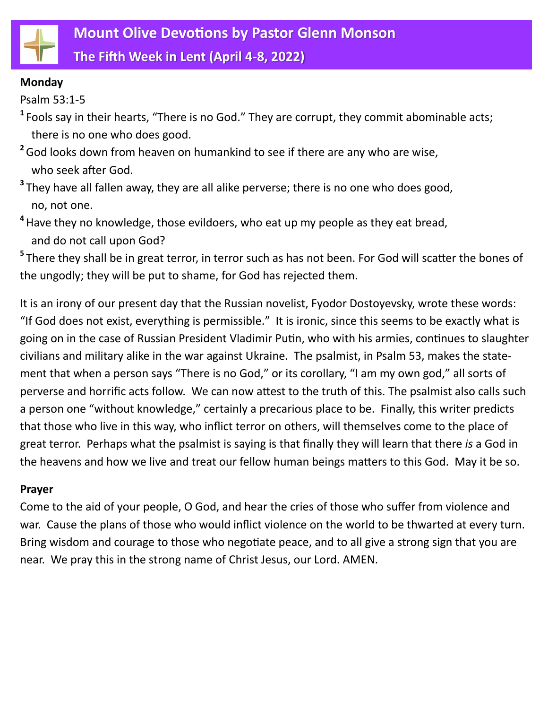

**The Fifth Week in Lent (April 4-8, 2022)**

## **Monday**

Psalm 53:1-5

- **1** Fools say in their hearts, "There is no God." They are corrupt, they commit abominable acts; there is no one who does good.
- <sup>2</sup> God looks down from heaven on humankind to see if there are any who are wise, who seek after God.
- **3** They have all fallen away, they are all alike perverse; there is no one who does good, no, not one.
- **4** Have they no knowledge, those evildoers, who eat up my people as they eat bread, and do not call upon God?

**5** There they shall be in great terror, in terror such as has not been. For God will scatter the bones of the ungodly; they will be put to shame, for God has rejected them.

It is an irony of our present day that the Russian novelist, Fyodor Dostoyevsky, wrote these words: "If God does not exist, everything is permissible." It is ironic, since this seems to be exactly what is going on in the case of Russian President Vladimir Putin, who with his armies, continues to slaughter civilians and military alike in the war against Ukraine. The psalmist, in Psalm 53, makes the statement that when a person says "There is no God," or its corollary, "I am my own god," all sorts of perverse and horrific acts follow. We can now attest to the truth of this. The psalmist also calls such a person one "without knowledge," certainly a precarious place to be. Finally, this writer predicts that those who live in this way, who inflict terror on others, will themselves come to the place of great terror. Perhaps what the psalmist is saying is that finally they will learn that there *is* a God in the heavens and how we live and treat our fellow human beings matters to this God. May it be so.

# **Prayer**

Come to the aid of your people, O God, and hear the cries of those who suffer from violence and war. Cause the plans of those who would inflict violence on the world to be thwarted at every turn. Bring wisdom and courage to those who negotiate peace, and to all give a strong sign that you are near. We pray this in the strong name of Christ Jesus, our Lord. AMEN.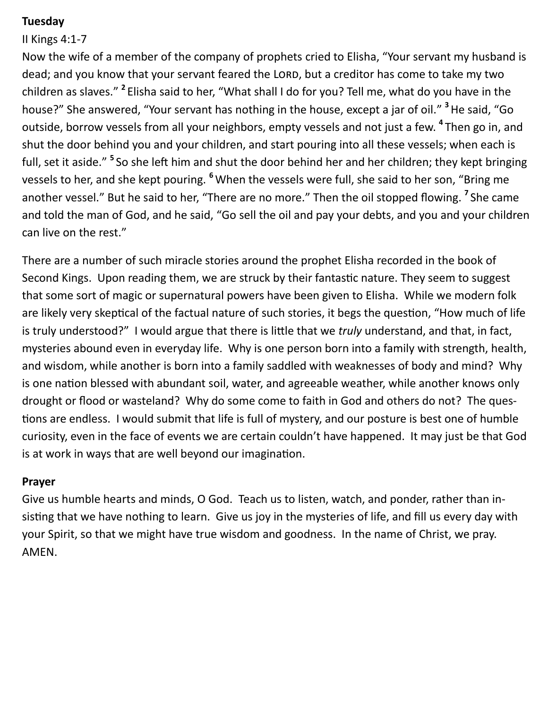## **Tuesday**

## II Kings 4:1-7

Now the wife of a member of the company of prophets cried to Elisha, "Your servant my husband is dead; and you know that your servant feared the LORD, but a creditor has come to take my two children as slaves." <sup>2</sup> Elisha said to her, "What shall I do for you? Tell me, what do you have in the house?" She answered, "Your servant has nothing in the house, except a jar of oil." **3** He said, "Go outside, borrow vessels from all your neighbors, empty vessels and not just a few. **<sup>4</sup>** Then go in, and shut the door behind you and your children, and start pouring into all these vessels; when each is full, set it aside." <sup>5</sup> So she left him and shut the door behind her and her children; they kept bringing vessels to her, and she kept pouring. **<sup>6</sup>**When the vessels were full, she said to her son, "Bring me another vessel." But he said to her, "There are no more." Then the oil stopped flowing. **<sup>7</sup>** She came and told the man of God, and he said, "Go sell the oil and pay your debts, and you and your children can live on the rest."

There are a number of such miracle stories around the prophet Elisha recorded in the book of Second Kings. Upon reading them, we are struck by their fantastic nature. They seem to suggest that some sort of magic or supernatural powers have been given to Elisha. While we modern folk are likely very skeptical of the factual nature of such stories, it begs the question, "How much of life is truly understood?" I would argue that there is little that we *truly* understand, and that, in fact, mysteries abound even in everyday life. Why is one person born into a family with strength, health, and wisdom, while another is born into a family saddled with weaknesses of body and mind? Why is one nation blessed with abundant soil, water, and agreeable weather, while another knows only drought or flood or wasteland? Why do some come to faith in God and others do not? The questions are endless. I would submit that life is full of mystery, and our posture is best one of humble curiosity, even in the face of events we are certain couldn't have happened. It may just be that God is at work in ways that are well beyond our imagination.

## **Prayer**

Give us humble hearts and minds, O God. Teach us to listen, watch, and ponder, rather than insisting that we have nothing to learn. Give us joy in the mysteries of life, and fill us every day with your Spirit, so that we might have true wisdom and goodness. In the name of Christ, we pray. AMEN.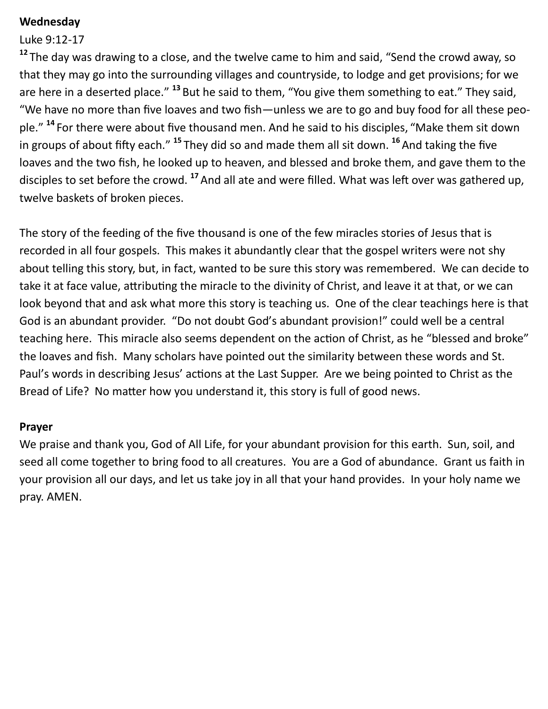## **Wednesday**

#### Luke 9:12-17

<sup>12</sup> The day was drawing to a close, and the twelve came to him and said, "Send the crowd away, so that they may go into the surrounding villages and countryside, to lodge and get provisions; for we are here in a deserted place." <sup>13</sup> But he said to them, "You give them something to eat." They said, "We have no more than five loaves and two fish—unless we are to go and buy food for all these people." **<sup>14</sup>** For there were about five thousand men. And he said to his disciples, "Make them sit down in groups of about fifty each." **<sup>15</sup>** They did so and made them all sit down. **<sup>16</sup>**And taking the five loaves and the two fish, he looked up to heaven, and blessed and broke them, and gave them to the disciples to set before the crowd. **<sup>17</sup>**And all ate and were filled. What was left over was gathered up, twelve baskets of broken pieces.

The story of the feeding of the five thousand is one of the few miracles stories of Jesus that is recorded in all four gospels. This makes it abundantly clear that the gospel writers were not shy about telling this story, but, in fact, wanted to be sure this story was remembered. We can decide to take it at face value, attributing the miracle to the divinity of Christ, and leave it at that, or we can look beyond that and ask what more this story is teaching us. One of the clear teachings here is that God is an abundant provider. "Do not doubt God's abundant provision!" could well be a central teaching here. This miracle also seems dependent on the action of Christ, as he "blessed and broke" the loaves and fish. Many scholars have pointed out the similarity between these words and St. Paul's words in describing Jesus' actions at the Last Supper. Are we being pointed to Christ as the Bread of Life? No matter how you understand it, this story is full of good news.

#### **Prayer**

We praise and thank you, God of All Life, for your abundant provision for this earth. Sun, soil, and seed all come together to bring food to all creatures. You are a God of abundance. Grant us faith in your provision all our days, and let us take joy in all that your hand provides. In your holy name we pray. AMEN.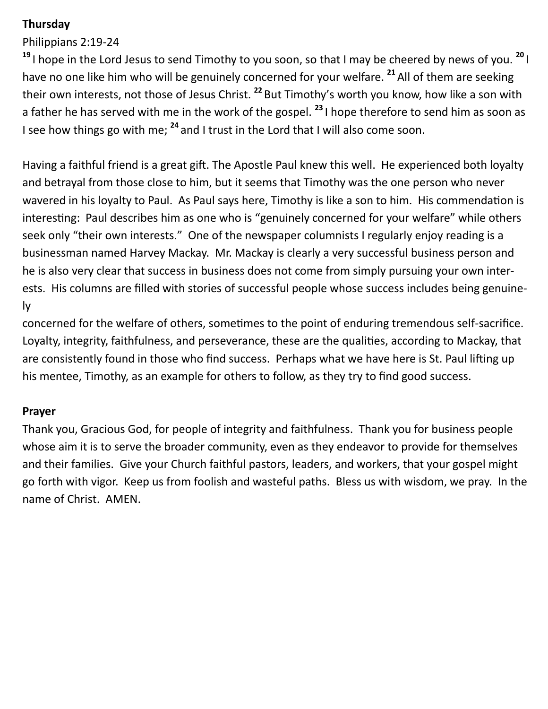# **Thursday**

Philippians 2:19-24

**<sup>19</sup>** I hope in the Lord Jesus to send Timothy to you soon, so that I may be cheered by news of you. **<sup>20</sup>** I have no one like him who will be genuinely concerned for your welfare. **<sup>21</sup>**All of them are seeking their own interests, not those of Jesus Christ. **<sup>22</sup>** But Timothy's worth you know, how like a son with a father he has served with me in the work of the gospel. **<sup>23</sup>** I hope therefore to send him as soon as I see how things go with me; **<sup>24</sup>** and I trust in the Lord that I will also come soon.

Having a faithful friend is a great gift. The Apostle Paul knew this well. He experienced both loyalty and betrayal from those close to him, but it seems that Timothy was the one person who never wavered in his loyalty to Paul. As Paul says here, Timothy is like a son to him. His commendation is interesting: Paul describes him as one who is "genuinely concerned for your welfare" while others seek only "their own interests." One of the newspaper columnists I regularly enjoy reading is a businessman named Harvey Mackay. Mr. Mackay is clearly a very successful business person and he is also very clear that success in business does not come from simply pursuing your own interests. His columns are filled with stories of successful people whose success includes being genuinely

concerned for the welfare of others, sometimes to the point of enduring tremendous self-sacrifice. Loyalty, integrity, faithfulness, and perseverance, these are the qualities, according to Mackay, that are consistently found in those who find success. Perhaps what we have here is St. Paul lifting up his mentee, Timothy, as an example for others to follow, as they try to find good success.

# **Prayer**

Thank you, Gracious God, for people of integrity and faithfulness. Thank you for business people whose aim it is to serve the broader community, even as they endeavor to provide for themselves and their families. Give your Church faithful pastors, leaders, and workers, that your gospel might go forth with vigor. Keep us from foolish and wasteful paths. Bless us with wisdom, we pray. In the name of Christ. AMEN.